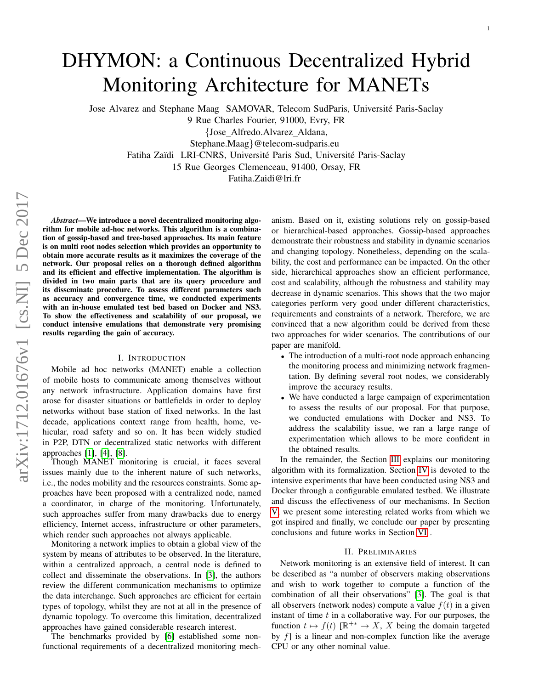# DHYMON: a Continuous Decentralized Hybrid Monitoring Architecture for MANETs

Jose Alvarez and Stephane Maag SAMOVAR, Telecom SudParis, Universite Paris-Saclay ´

9 Rue Charles Fourier, 91000, Evry, FR

{Jose Alfredo.Alvarez Aldana,

Stephane.Maag}@telecom-sudparis.eu

Fatiha Zaïdi LRI-CNRS, Université Paris Sud, Université Paris-Saclay

15 Rue Georges Clemenceau, 91400, Orsay, FR

Fatiha.Zaidi@lri.fr

*Abstract*—We introduce a novel decentralized monitoring algorithm for mobile ad-hoc networks. This algorithm is a combination of gossip-based and tree-based approaches. Its main feature is on multi root nodes selection which provides an opportunity to obtain more accurate results as it maximizes the coverage of the network. Our proposal relies on a thorough defined algorithm and its efficient and effective implementation. The algorithm is divided in two main parts that are its query procedure and its disseminate procedure. To assess different parameters such as accuracy and convergence time, we conducted experiments with an in-house emulated test bed based on Docker and NS3. To show the effectiveness and scalability of our proposal, we conduct intensive emulations that demonstrate very promising results regarding the gain of accuracy.

# I. INTRODUCTION

Mobile ad hoc networks (MANET) enable a collection of mobile hosts to communicate among themselves without any network infrastructure. Application domains have first arose for disaster situations or battlefields in order to deploy networks without base station of fixed networks. In the last decade, applications context range from health, home, vehicular, road safety and so on. It has been widely studied in P2P, DTN or decentralized static networks with different approaches [\[1\]](#page-6-0), [\[4\]](#page-6-1), [\[8\]](#page-6-2).

Though MANET monitoring is crucial, it faces several issues mainly due to the inherent nature of such networks, i.e., the nodes mobility and the resources constraints. Some approaches have been proposed with a centralized node, named a coordinator, in charge of the monitoring. Unfortunately, such approaches suffer from many drawbacks due to energy efficiency, Internet access, infrastructure or other parameters, which render such approaches not always applicable.

Monitoring a network implies to obtain a global view of the system by means of attributes to be observed. In the literature, within a centralized approach, a central node is defined to collect and disseminate the observations. In [\[3\]](#page-6-3), the authors review the different communication mechanisms to optimize the data interchange. Such approaches are efficient for certain types of topology, whilst they are not at all in the presence of dynamic topology. To overcome this limitation, decentralized approaches have gained considerable research interest.

The benchmarks provided by [\[6\]](#page-6-4) established some nonfunctional requirements of a decentralized monitoring mechanism. Based on it, existing solutions rely on gossip-based or hierarchical-based approaches. Gossip-based approaches demonstrate their robustness and stability in dynamic scenarios and changing topology. Nonetheless, depending on the scalability, the cost and performance can be impacted. On the other side, hierarchical approaches show an efficient performance, cost and scalability, although the robustness and stability may decrease in dynamic scenarios. This shows that the two major categories perform very good under different characteristics, requirements and constraints of a network. Therefore, we are convinced that a new algorithm could be derived from these two approaches for wider scenarios. The contributions of our paper are manifold.

- The introduction of a multi-root node approach enhancing the monitoring process and minimizing network fragmentation. By defining several root nodes, we considerably improve the accuracy results.
- We have conducted a large campaign of experimentation to assess the results of our proposal. For that purpose, we conducted emulations with Docker and NS3. To address the scalability issue, we ran a large range of experimentation which allows to be more confident in the obtained results.

In the remainder, the Section [III](#page-1-0) explains our monitoring algorithm with its formalization. Section [IV](#page-3-0) is devoted to the intensive experiments that have been conducted using NS3 and Docker through a configurable emulated testbed. We illustrate and discuss the effectiveness of our mechanisms. In Section [V,](#page-5-0) we present some interesting related works from which we got inspired and finally, we conclude our paper by presenting conclusions and future works in Section [VI](#page-5-1) .

#### II. PRELIMINARIES

Network monitoring is an extensive field of interest. It can be described as "a number of observers making observations and wish to work together to compute a function of the combination of all their observations" [\[3\]](#page-6-3). The goal is that all observers (network nodes) compute a value  $f(t)$  in a given instant of time  $t$  in a collaborative way. For our purposes, the function  $t \mapsto f(t)$  [ $\mathbb{R}^{+*} \to X$ , X being the domain targeted by  $f$  is a linear and non-complex function like the average CPU or any other nominal value.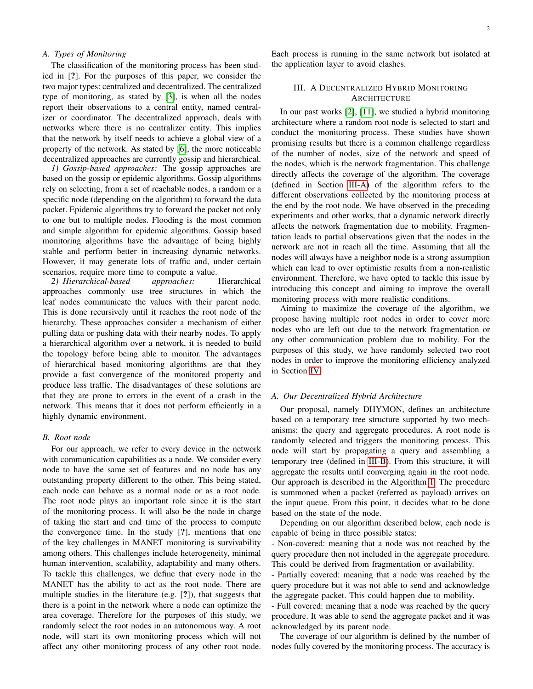## *A. Types of Monitoring*

The classification of the monitoring process has been studied in [?]. For the purposes of this paper, we consider the two major types: centralized and decentralized. The centralized type of monitoring, as stated by [\[3\]](#page-6-3), is when all the nodes report their observations to a central entity, named centralizer or coordinator. The decentralized approach, deals with networks where there is no centralizer entity. This implies that the network by itself needs to achieve a global view of a property of the network. As stated by [\[6\]](#page-6-4), the more noticeable decentralized approaches are currently gossip and hierarchical.

*1) Gossip-based approaches:* The gossip approaches are based on the gossip or epidemic algorithms. Gossip algorithms rely on selecting, from a set of reachable nodes, a random or a specific node (depending on the algorithm) to forward the data packet. Epidemic algorithms try to forward the packet not only to one but to multiple nodes. Flooding is the most common and simple algorithm for epidemic algorithms. Gossip based monitoring algorithms have the advantage of being highly stable and perform better in increasing dynamic networks. However, it may generate lots of traffic and, under certain scenarios, require more time to compute a value.

*2) Hierarchical-based approaches:* Hierarchical approaches commonly use tree structures in which the leaf nodes communicate the values with their parent node. This is done recursively until it reaches the root node of the hierarchy. These approaches consider a mechanism of either pulling data or pushing data with their nearby nodes. To apply a hierarchical algorithm over a network, it is needed to build the topology before being able to monitor. The advantages of hierarchical based monitoring algorithms are that they provide a fast convergence of the monitored property and produce less traffic. The disadvantages of these solutions are that they are prone to errors in the event of a crash in the network. This means that it does not perform efficiently in a highly dynamic environment.

#### *B. Root node*

For our approach, we refer to every device in the network with communication capabilities as a node. We consider every node to have the same set of features and no node has any outstanding property different to the other. This being stated, each node can behave as a normal node or as a root node. The root node plays an important role since it is the start of the monitoring process. It will also be the node in charge of taking the start and end time of the process to compute the convergence time. In the study [?], mentions that one of the key challenges in MANET monitoring is survivability among others. This challenges include heterogeneity, minimal human intervention, scalability, adaptability and many others. To tackle this challenges, we define that every node in the MANET has the ability to act as the root node. There are multiple studies in the literature (e.g. [?]), that suggests that there is a point in the network where a node can optimize the area coverage. Therefore for the purposes of this study, we randomly select the root nodes in an autonomous way. A root node, will start its own monitoring process which will not affect any other monitoring process of any other root node. Each process is running in the same network but isolated at the application layer to avoid clashes.

# <span id="page-1-0"></span>III. A DECENTRALIZED HYBRID MONITORING **ARCHITECTURE**

In our past works [\[2\]](#page-6-5), [\[11\]](#page-6-6), we studied a hybrid monitoring architecture where a random root node is selected to start and conduct the monitoring process. These studies have shown promising results but there is a common challenge regardless of the number of nodes, size of the network and speed of the nodes, which is the network fragmentation. This challenge directly affects the coverage of the algorithm. The coverage (defined in Section [III-A\)](#page-1-1) of the algorithm refers to the different observations collected by the monitoring process at the end by the root node. We have observed in the preceding experiments and other works, that a dynamic network directly affects the network fragmentation due to mobility. Fragmentation leads to partial observations given that the nodes in the network are not in reach all the time. Assuming that all the nodes will always have a neighbor node is a strong assumption which can lead to over optimistic results from a non-realistic environment. Therefore, we have opted to tackle this issue by introducing this concept and aiming to improve the overall monitoring process with more realistic conditions.

Aiming to maximize the coverage of the algorithm, we propose having multiple root nodes in order to cover more nodes who are left out due to the network fragmentation or any other communication problem due to mobility. For the purposes of this study, we have randomly selected two root nodes in order to improve the monitoring efficiency analyzed in Section [IV.](#page-3-0)

#### <span id="page-1-1"></span>*A. Our Decentralized Hybrid Architecture*

Our proposal, namely DHYMON, defines an architecture based on a temporary tree structure supported by two mechanisms: the query and aggregate procedures. A root node is randomly selected and triggers the monitoring process. This node will start by propagating a query and assembling a temporary tree (defined in [III-B\)](#page-2-0). From this structure, it will aggregate the results until converging again in the root node. Our approach is described in the Algorithm [1.](#page-2-1) The procedure is summoned when a packet (referred as payload) arrives on the input queue. From this point, it decides what to be done based on the state of the node.

Depending on our algorithm described below, each node is capable of being in three possible states:

- Non-covered: meaning that a node was not reached by the query procedure then not included in the aggregate procedure. This could be derived from fragmentation or availability.

- Partially covered: meaning that a node was reached by the query procedure but it was not able to send and acknowledge the aggregate packet. This could happen due to mobility.

- Full covered: meaning that a node was reached by the query procedure. It was able to send the aggregate packet and it was acknowledged by its parent node.

The coverage of our algorithm is defined by the number of nodes fully covered by the monitoring process. The accuracy is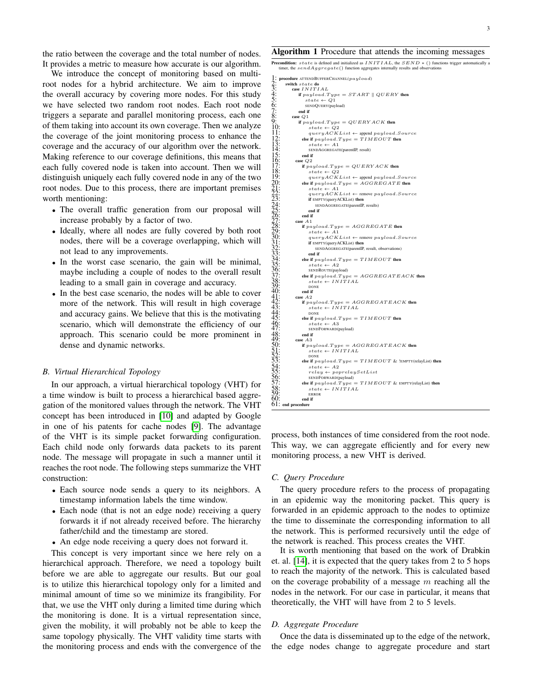the ratio between the coverage and the total number of nodes. It provides a metric to measure how accurate is our algorithm.

We introduce the concept of monitoring based on multiroot nodes for a hybrid architecture. We aim to improve the overall accuracy by covering more nodes. For this study we have selected two random root nodes. Each root node triggers a separate and parallel monitoring process, each one of them taking into account its own coverage. Then we analyze the coverage of the joint monitoring process to enhance the coverage and the accuracy of our algorithm over the network. Making reference to our coverage definitions, this means that each fully covered node is taken into account. Then we will distinguish uniquely each fully covered node in any of the two root nodes. Due to this process, there are important premises worth mentioning:

- The overall traffic generation from our proposal will increase probably by a factor of two.
- Ideally, where all nodes are fully covered by both root nodes, there will be a coverage overlapping, which will not lead to any improvements.
- In the worst case scenario, the gain will be minimal, maybe including a couple of nodes to the overall result leading to a small gain in coverage and accuracy.
- In the best case scenario, the nodes will be able to cover more of the network. This will result in high coverage and accuracy gains. We believe that this is the motivating scenario, which will demonstrate the efficiency of our approach. This scenario could be more prominent in dense and dynamic networks.

## <span id="page-2-0"></span>*B. Virtual Hierarchical Topology*

In our approach, a virtual hierarchical topology (VHT) for a time window is built to process a hierarchical based aggregation of the monitored values through the network. The VHT concept has been introduced in [\[10\]](#page-6-7) and adapted by Google in one of his patents for cache nodes [\[9\]](#page-6-8). The advantage of the VHT is its simple packet forwarding configuration. Each child node only forwards data packets to its parent node. The message will propagate in such a manner until it reaches the root node. The following steps summarize the VHT construction:

- Each source node sends a query to its neighbors. A timestamp information labels the time window.
- Each node (that is not an edge node) receiving a query forwards it if not already received before. The hierarchy father/child and the timestamp are stored.
- An edge node receiving a query does not forward it.

This concept is very important since we here rely on a hierarchical approach. Therefore, we need a topology built before we are able to aggregate our results. But our goal is to utilize this hierarchical topology only for a limited and minimal amount of time so we minimize its frangibility. For that, we use the VHT only during a limited time during which the monitoring is done. It is a virtual representation since, given the mobility, it will probably not be able to keep the same topology physically. The VHT validity time starts with the monitoring process and ends with the convergence of the

#### <span id="page-2-1"></span>Algorithm 1 Procedure that attends the incoming messages

**Precondition:**  $state$  is defined and initialized as  $INTIAL$ , the  $SEND$  \* () functions trigger automatically a timer, the  $sendAggregate()$  function aggregates in

```
1: procedure ATTENDBUFFERCHANNEL(payload)<br>
2: switch state do
3: case INITIAL<br>4: if payload.5<br>5: state \leftarrowif payload.Type = START \parallel QUERY then
5: state \leftarrow Q1<br>
6: \text{SEDQuery(pay)}<br>
7: end if<br>
8: \text{case } Q1SENDQUERY(payload)
                     end if
                 case Q19: if payload.Type = QUERYACK then<br>10: state \leftarrow Q2124 \times 100 \times 100 14 \times 100 14 \times 100 150 \times 100 150 \times 10012: else if payload.Type = TIMEOUT then<br>13: state \leftarrow A1SENDAGGREGATE(parentIP, result)<br>end if
 12:<br>13:<br>14:<br>15:<br>16:<br>17:
                   case Q217: if p \text{ a} y \text{ a}<br>
18: if p \text{ a} y \text{ a}<br>
18: \text{ a} y \text{ a} y \text{ a}<br>
19: q \text{ a} y \text{ a} x \text{ a} y \text{ a}<br>
\text{ a} y \text{ a} y \text{ a} x \text{ a} y \text{ a}<br>
\text{ a} y \text{ a} y \text{ a} x \text{ a} y \text{ a}<br>
\text{ a} y \text{ a} y \text{ a} x \text{ a} y \text{ a}state \leftarrow \widetilde{Q2}19: queryACKList \leftarrow \text{append } payload.Source}<br>
20: else if payload.Type = AGGREGATE then
 21: \begin{array}{lll} 21: & \text{state} & \leftarrow & A1 \ 22: & \text{query}ACKList & \leftarrow & \text{remove payload.Source} \ 23: & \text{if EMPTY}(\text{query}ACKList) \text{ then } \end{array}24: SENDAGGREGATE(parentIP, results)
                         end if<br>end if
26: end if
                   case A1if payload.Type = AGGREGATE then
 29: state \leftarrow A1<br>30: queryACKList \leftarrow remove payload. Source
 31: if EMPTY(queryACKList) then<br>
32: SENDAGGREGATE(parentIP, result, observations)
\begin{array}{ccc} \n\overline{33:} & \text{end if} \\ \n\overline{34:} & \text{else if } p_a \\ \n\overline{35:} & \text{state} \\ \n\overline{36:} & \text{senDR} \\ \n\overline{37:} & \text{else if } p_a \n\end{array}else if payload.Type = TIMEOUT then
                              state \leftarrow A2\frac{36}{27}: SENDROUTE(payload)<br>\frac{37}{27}: else if payload.Type = AGGREGATEACK then
38: state ← INITIAL<br>39: state ← INITIAL
                         DONE<br>end if
40:41:42:43:44:45:case A242: if payload.Type = AGGREGATEACK then<br>43: state ← INITIAL
                              44: DONE
45: else if payload.Type = TIMEOUT then<br>46: state \leftarrow A3<br>47: sENDFORWARD(payload)<br>48: end if
                              state \leftarrow A347: SENDFORWARD(payload)
                         48: end if
                   case A350: if payload.Type = AGGREGATEACK then<br>
51: state ← INITIAL
\frac{19}{50}: \frac{51}{52}: \frac{52}{53}: \frac{54}{55}: \frac{56}{56}else if payload.Type = TIMEOUT \& !EMPTY(relayList) then
 54: \begin{array}{lll} 54: & \text{state} \leftarrow A2 \ \text{55}: & \text{relay} \leftarrow poprelaySetList \ \text{56}: & \text{sempFowaxb(payload)} \end{array}57: else if pa_{global}.Type = TIMEOUT & ENTY(relayList) then<br>
58: ste + INITIAL<br>
59: ste \leftarrow INTIALstate \leftarrow \textit{INITIAL}ERROR<br>end if
 60: end if
61: end procedure
```
process, both instances of time considered from the root node. This way, we can aggregate efficiently and for every new monitoring process, a new VHT is derived.

## <span id="page-2-2"></span>*C. Query Procedure*

The query procedure refers to the process of propagating in an epidemic way the monitoring packet. This query is forwarded in an epidemic approach to the nodes to optimize the time to disseminate the corresponding information to all the network. This is performed recursively until the edge of the network is reached. This process creates the VHT.

It is worth mentioning that based on the work of Drabkin et. al. [\[14\]](#page-6-9), it is expected that the query takes from 2 to 5 hops to reach the majority of the network. This is calculated based on the coverage probability of a message  $m$  reaching all the nodes in the network. For our case in particular, it means that theoretically, the VHT will have from 2 to 5 levels.

#### *D. Aggregate Procedure*

Once the data is disseminated up to the edge of the network, the edge nodes change to aggregate procedure and start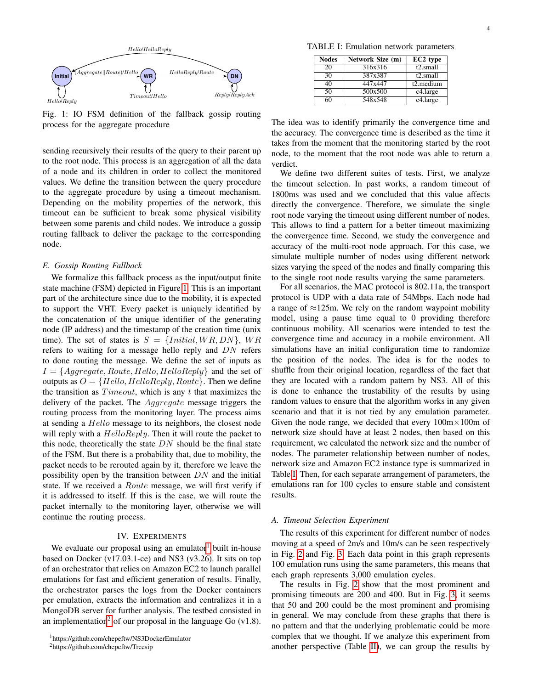<span id="page-3-1"></span>

Fig. 1: IO FSM definition of the fallback gossip routing process for the aggregate procedure

sending recursively their results of the query to their parent up to the root node. This process is an aggregation of all the data of a node and its children in order to collect the monitored values. We define the transition between the query procedure to the aggregate procedure by using a timeout mechanism. Depending on the mobility properties of the network, this timeout can be sufficient to break some physical visibility between some parents and child nodes. We introduce a gossip routing fallback to deliver the package to the corresponding node.

#### *E. Gossip Routing Fallback*

We formalize this fallback process as the input/output finite state machine (FSM) depicted in Figure [1.](#page-3-1) This is an important part of the architecture since due to the mobility, it is expected to support the VHT. Every packet is uniquely identified by the concatenation of the unique identifier of the generating node (IP address) and the timestamp of the creation time (unix time). The set of states is  $S = \{Initial, WR, DN\}$ , WR refers to waiting for a message hello reply and  $DN$  refers to done routing the message. We define the set of inputs as  $I = \{Aggregate, Route, Hello, HelloReply\}$  and the set of outputs as  $O = \{Hello, HelloReply, Route\}$ . Then we define the transition as  $Timeout$ , which is any t that maximizes the delivery of the packet. The Aggregate message triggers the routing process from the monitoring layer. The process aims at sending a *Hello* message to its neighbors, the closest node will reply with a  $HelloReply$ . Then it will route the packet to this node, theoretically the state  $DN$  should be the final state of the FSM. But there is a probability that, due to mobility, the packet needs to be rerouted again by it, therefore we leave the possibility open by the transition between  $DN$  and the initial state. If we received a *Route* message, we will first verify if it is addressed to itself. If this is the case, we will route the packet internally to the monitoring layer, otherwise we will continue the routing process.

# IV. EXPERIMENTS

<span id="page-3-0"></span>We evaluate our proposal using an emulator built in-house based on Docker (v17.03.1-ce) and NS3 (v3.26). It sits on top of an orchestrator that relies on Amazon EC2 to launch parallel emulations for fast and efficient generation of results. Finally, the orchestrator parses the logs from the Docker containers per emulation, extracts the information and centralizes it in a MongoDB server for further analysis. The testbed consisted in an implementation<sup>[2](#page-3-3)</sup> of our proposal in the language Go  $(v1.8)$ .

<span id="page-3-4"></span>TABLE I: Emulation network parameters

| <b>Nodes</b> | Network Size (m) | EC2 type             |
|--------------|------------------|----------------------|
| 20           | 316x316          | t2.small             |
| 30           | 387x387          | t <sub>2.small</sub> |
| 40           | 447x447          | t2.medium            |
| 50           | 500x500          | c4.large             |
| 60           | 548x548          | c4.large             |

The idea was to identify primarily the convergence time and the accuracy. The convergence time is described as the time it takes from the moment that the monitoring started by the root node, to the moment that the root node was able to return a verdict.

We define two different suites of tests. First, we analyze the timeout selection. In past works, a random timeout of 1800ms was used and we concluded that this value affects directly the convergence. Therefore, we simulate the single root node varying the timeout using different number of nodes. This allows to find a pattern for a better timeout maximizing the convergence time. Second, we study the convergence and accuracy of the multi-root node approach. For this case, we simulate multiple number of nodes using different network sizes varying the speed of the nodes and finally comparing this to the single root node results varying the same parameters.

For all scenarios, the MAC protocol is 802.11a, the transport protocol is UDP with a data rate of 54Mbps. Each node had a range of  $\approx$ 125m. We rely on the random waypoint mobility model, using a pause time equal to 0 providing therefore continuous mobility. All scenarios were intended to test the convergence time and accuracy in a mobile environment. All simulations have an initial configuration time to randomize the position of the nodes. The idea is for the nodes to shuffle from their original location, regardless of the fact that they are located with a random pattern by NS3. All of this is done to enhance the trustability of the results by using random values to ensure that the algorithm works in any given scenario and that it is not tied by any emulation parameter. Given the node range, we decided that every  $100m \times 100m$  of network size should have at least 2 nodes, then based on this requirement, we calculated the network size and the number of nodes. The parameter relationship between number of nodes, network size and Amazon EC2 instance type is summarized in Table [I.](#page-3-4) Then, for each separate arrangement of parameters, the emulations ran for 100 cycles to ensure stable and consistent results.

## <span id="page-3-5"></span>*A. Timeout Selection Experiment*

The results of this experiment for different number of nodes moving at a speed of 2m/s and 10m/s can be seen respectively in Fig. [2](#page-4-0) and Fig. [3.](#page-4-1) Each data point in this graph represents 100 emulation runs using the same parameters, this means that each graph represents 3,000 emulation cycles.

The results in Fig. [2](#page-4-0) show that the most prominent and promising timeouts are 200 and 400. But in Fig. [3,](#page-4-1) it seems that 50 and 200 could be the most prominent and promising in general. We may conclude from these graphs that there is no pattern and that the underlying problematic could be more complex that we thought. If we analyze this experiment from another perspective (Table [II\)](#page-4-2), we can group the results by

<span id="page-3-2"></span><sup>1</sup>https://github.com/chepeftw/NS3DockerEmulator

<span id="page-3-3"></span><sup>2</sup>https://github.com/chepeftw/Treesip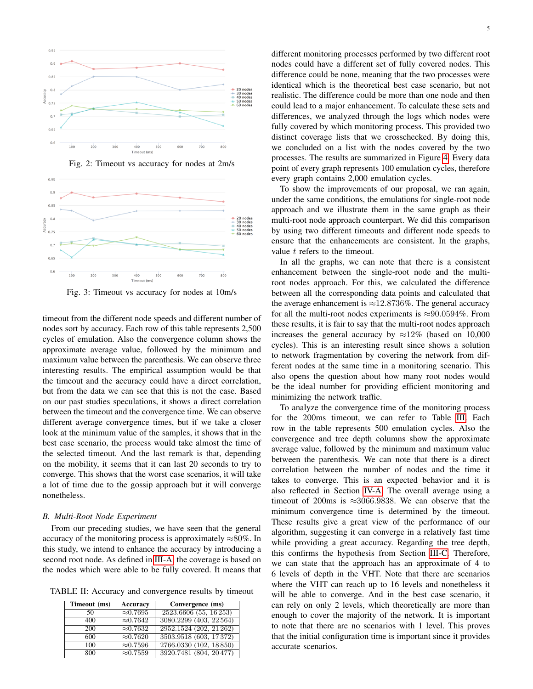<span id="page-4-0"></span>



<span id="page-4-1"></span>

Fig. 3: Timeout vs accuracy for nodes at 10m/s

timeout from the different node speeds and different number of nodes sort by accuracy. Each row of this table represents 2,500 cycles of emulation. Also the convergence column shows the approximate average value, followed by the minimum and maximum value between the parenthesis. We can observe three interesting results. The empirical assumption would be that the timeout and the accuracy could have a direct correlation, but from the data we can see that this is not the case. Based on our past studies speculations, it shows a direct correlation between the timeout and the convergence time. We can observe different average convergence times, but if we take a closer look at the minimum value of the samples, it shows that in the best case scenario, the process would take almost the time of the selected timeout. And the last remark is that, depending on the mobility, it seems that it can last 20 seconds to try to converge. This shows that the worst case scenarios, it will take a lot of time due to the gossip approach but it will converge nonetheless.

# *B. Multi-Root Node Experiment*

From our preceding studies, we have seen that the general accuracy of the monitoring process is approximately  $\approx 80\%$ . In this study, we intend to enhance the accuracy by introducing a second root node. As defined in [III-A,](#page-1-1) the coverage is based on the nodes which were able to be fully covered. It means that

<span id="page-4-2"></span>TABLE II: Accuracy and convergence results by timeout

| Timeout (ms) | <b>Accuracy</b>  | Convergence (ms)        |
|--------------|------------------|-------------------------|
| 50           | $\approx 0.7695$ | 2523.6606 (55, 16 253)  |
| 400          | $\approx 0.7642$ | 3080.2299 (403, 22564)  |
| 200          | $\approx 0.7632$ | 2952.1524 (202, 21 262) |
| 600          | $\approx 0.7620$ | 3503.9518 (603, 17372)  |
| 100          | $\approx 0.7596$ | 2766.0330 (102, 18850)  |
| 800          | $\approx 0.7559$ | 3920.7481 (804, 20477)  |

different monitoring processes performed by two different root nodes could have a different set of fully covered nodes. This difference could be none, meaning that the two processes were identical which is the theoretical best case scenario, but not realistic. The difference could be more than one node and then could lead to a major enhancement. To calculate these sets and differences, we analyzed through the logs which nodes were fully covered by which monitoring process. This provided two distinct coverage lists that we crosschecked. By doing this, we concluded on a list with the nodes covered by the two processes. The results are summarized in Figure [4.](#page-5-2) Every data point of every graph represents 100 emulation cycles, therefore every graph contains 2,000 emulation cycles.

To show the improvements of our proposal, we ran again, under the same conditions, the emulations for single-root node approach and we illustrate them in the same graph as their multi-root node approach counterpart. We did this comparison by using two different timeouts and different node speeds to ensure that the enhancements are consistent. In the graphs, value  $t$  refers to the timeout.

In all the graphs, we can note that there is a consistent enhancement between the single-root node and the multiroot nodes approach. For this, we calculated the difference between all the corresponding data points and calculated that the average enhancement is  $\approx$ 12.8736%. The general accuracy for all the multi-root nodes experiments is  $\approx 90.0594\%$ . From these results, it is fair to say that the multi-root nodes approach increases the general accuracy by  $\approx 12\%$  (based on 10,000 cycles). This is an interesting result since shows a solution to network fragmentation by covering the network from different nodes at the same time in a monitoring scenario. This also opens the question about how many root nodes would be the ideal number for providing efficient monitoring and minimizing the network traffic.

To analyze the convergence time of the monitoring process for the 200ms timeout, we can refer to Table [III.](#page-5-3) Each row in the table represents 500 emulation cycles. Also the convergence and tree depth columns show the approximate average value, followed by the minimum and maximum value between the parenthesis. We can note that there is a direct correlation between the number of nodes and the time it takes to converge. This is an expected behavior and it is also reflected in Section [IV-A.](#page-3-5) The overall average using a timeout of 200ms is  $\approx$ 3066.9838. We can observe that the minimum convergence time is determined by the timeout. These results give a great view of the performance of our algorithm, suggesting it can converge in a relatively fast time while providing a great accuracy. Regarding the tree depth, this confirms the hypothesis from Section [III-C.](#page-2-2) Therefore, we can state that the approach has an approximate of 4 to 6 levels of depth in the VHT. Note that there are scenarios where the VHT can reach up to 16 levels and nonetheless it will be able to converge. And in the best case scenario, it can rely on only 2 levels, which theoretically are more than enough to cover the majority of the network. It is important to note that there are no scenarios with 1 level. This proves that the initial configuration time is important since it provides accurate scenarios.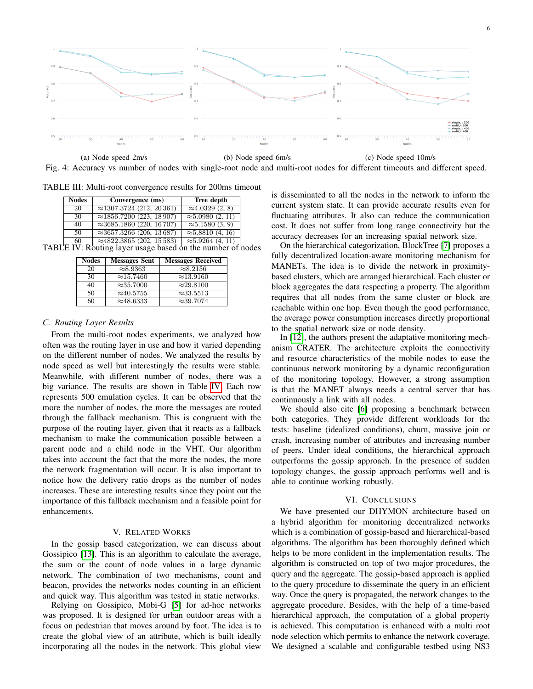<span id="page-5-2"></span>

Fig. 4: Accuracy vs number of nodes with single-root node and multi-root nodes for different timeouts and different speed.

<span id="page-5-3"></span>TABLE III: Multi-root convergence results for 200ms timeout

| <b>Nodes</b> | Convergence (ms)                                           | Tree depth                        |  |
|--------------|------------------------------------------------------------|-----------------------------------|--|
| 20           | $\approx$ 1307.3724 (212, 20361)                           | $\approx 4.0329(2, 8)$            |  |
| 30           | $\approx$ 1856.7200 (223, 18907)                           | $\approx 5.0980(2, 11)$           |  |
| 40           | $\approx$ 3685.1860 (220, 16707)                           | $\approx 5.1580(3, 9)$            |  |
| 50           | $\approx$ 3657.3266 (206, 13687)                           | $\overline{\approx}5.8810(4, 16)$ |  |
| 60           | $\approx$ 4822.3865 (202, 15583)                           | $\approx 5.9264$ (4, 11)          |  |
|              | TABLE IV: Routing layer usage based on the number of nodes |                                   |  |

<span id="page-5-4"></span>

| <b>Nodes</b> | <b>Messages Sent</b> | <b>Messages Received</b> |
|--------------|----------------------|--------------------------|
| 20           | $\approx 8.9363$     | $\approx 8.2156$         |
| 30           | $\approx$ 15.7460    | $\approx$ 13.9160        |
| 40           | $\approx$ 35.7000    | $\approx$ 29.8100        |
| 50           | $\approx 40.5755$    | $\approx$ 33.5513        |
| 60           | $\approx$ 48.6333    | $\approx$ 39.7074        |

#### *C. Routing Layer Results*

From the multi-root nodes experiments, we analyzed how often was the routing layer in use and how it varied depending on the different number of nodes. We analyzed the results by node speed as well but interestingly the results were stable. Meanwhile, with different number of nodes, there was a big variance. The results are shown in Table [IV.](#page-5-4) Each row represents 500 emulation cycles. It can be observed that the more the number of nodes, the more the messages are routed through the fallback mechanism. This is congruent with the purpose of the routing layer, given that it reacts as a fallback mechanism to make the communication possible between a parent node and a child node in the VHT. Our algorithm takes into account the fact that the more the nodes, the more the network fragmentation will occur. It is also important to notice how the delivery ratio drops as the number of nodes increases. These are interesting results since they point out the importance of this fallback mechanism and a feasible point for enhancements.

# V. RELATED WORKS

<span id="page-5-0"></span>In the gossip based categorization, we can discuss about Gossipico [\[13\]](#page-6-10). This is an algorithm to calculate the average, the sum or the count of node values in a large dynamic network. The combination of two mechanisms, count and beacon, provides the networks nodes counting in an efficient and quick way. This algorithm was tested in static networks.

Relying on Gossipico, Mobi-G [\[5\]](#page-6-11) for ad-hoc networks was proposed. It is designed for urban outdoor areas with a focus on pedestrian that moves around by foot. The idea is to create the global view of an attribute, which is built ideally incorporating all the nodes in the network. This global view

is disseminated to all the nodes in the network to inform the current system state. It can provide accurate results even for fluctuating attributes. It also can reduce the communication cost. It does not suffer from long range connectivity but the accuracy decreases for an increasing spatial network size.

On the hierarchical categorization, BlockTree [\[7\]](#page-6-12) proposes a fully decentralized location-aware monitoring mechanism for MANETs. The idea is to divide the network in proximitybased clusters, which are arranged hierarchical. Each cluster or block aggregates the data respecting a property. The algorithm requires that all nodes from the same cluster or block are reachable within one hop. Even though the good performance, the average power consumption increases directly proportional to the spatial network size or node density.

In [\[12\]](#page-6-13), the authors present the adaptative monitoring mechanism CRATER. The architecture exploits the connectivity and resource characteristics of the mobile nodes to ease the continuous network monitoring by a dynamic reconfiguration of the monitoring topology. However, a strong assumption is that the MANET always needs a central server that has continuously a link with all nodes.

We should also cite [\[6\]](#page-6-4) proposing a benchmark between both categories. They provide different workloads for the tests: baseline (idealized conditions), churn, massive join or crash, increasing number of attributes and increasing number of peers. Under ideal conditions, the hierarchical approach outperforms the gossip approach. In the presence of sudden topology changes, the gossip approach performs well and is able to continue working robustly.

## VI. CONCLUSIONS

<span id="page-5-1"></span>We have presented our DHYMON architecture based on a hybrid algorithm for monitoring decentralized networks which is a combination of gossip-based and hierarchical-based algorithms. The algorithm has been thoroughly defined which helps to be more confident in the implementation results. The algorithm is constructed on top of two major procedures, the query and the aggregate. The gossip-based approach is applied to the query procedure to disseminate the query in an efficient way. Once the query is propagated, the network changes to the aggregate procedure. Besides, with the help of a time-based hierarchical approach, the computation of a global property is achieved. This computation is enhanced with a multi root node selection which permits to enhance the network coverage. We designed a scalable and configurable testbed using NS3